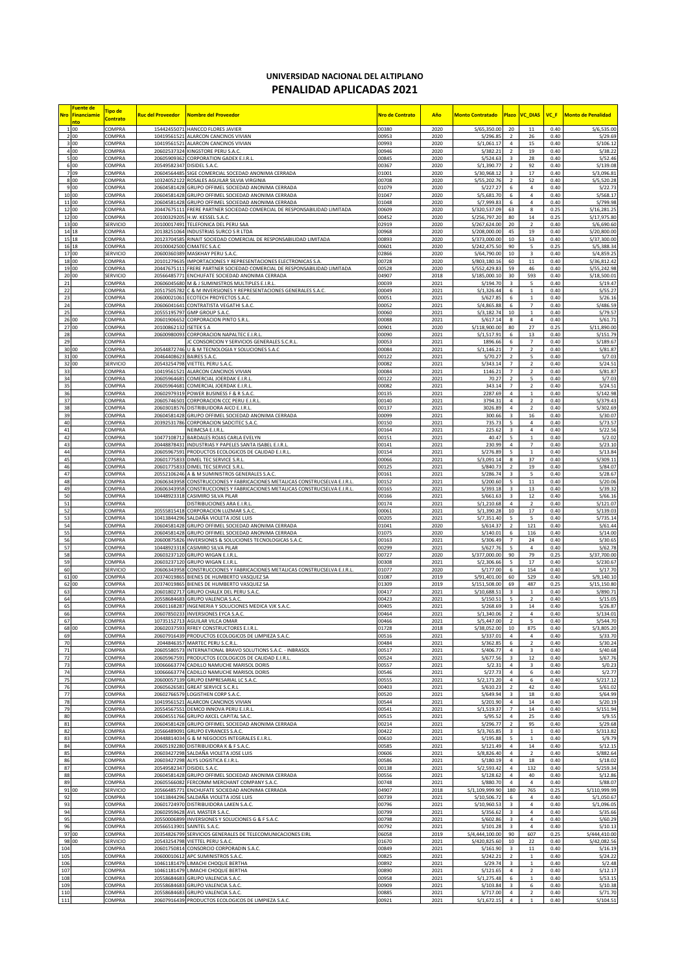## **UNIVERSIDAD NACIONAL DEL ALTIPLANO PENALIDAD APLICADAS 2021**

|                | Fuente de<br>Nro Financiamie<br>nto | Tipo de<br><b>Contrato</b> | Ruc del Proveedor          | Nombre del Proveedor                                                                                                             | Nro de Contrato | Año          | <b>Monto Contratado</b>      | <b>Plazo</b>                     | <b>VC_DIAS</b>                   | VC F         | <b>Monto de Penalidad</b>  |
|----------------|-------------------------------------|----------------------------|----------------------------|----------------------------------------------------------------------------------------------------------------------------------|-----------------|--------------|------------------------------|----------------------------------|----------------------------------|--------------|----------------------------|
|                | 1 00                                | COMPRA                     | 15442455071                | HANCCO FLORES JAVIER                                                                                                             | 00380           | 2020         | S/65,350.00                  | 20                               | $11\,$                           | 0.40         | S/6,535.00                 |
|                | 2 00                                | COMPRA                     | 10419561521                | ALARCON CANCINOS VIVIAN                                                                                                          | 00953           | 2020         | S/296.85                     | $\overline{2}$                   | $26\,$                           | 0.40         | S/29.69                    |
|                | 3 00<br>4 00                        | COMPRA<br>COMPRA           | 20602537324                | 10419561521 ALARCON CANCINOS VIVIAN<br>KINGSTORE PERU S.A.C.                                                                     | 00993<br>00946  | 2020<br>2020 | S/1,061.17<br>S/382.21       | $\overline{4}$<br>$\overline{2}$ | 15<br>19                         | 0.40<br>0.40 | S/106.12<br>S/38.22        |
| 5              | 00                                  | COMPRA                     | 20605909362                | CORPORATION GADEX E.I.R.L.                                                                                                       | 00845           | 2020         | S/524.63                     | 3                                | 28                               | 0.40         | S/52.46                    |
|                | 6 00                                | COMPRA                     | 20549582347                | DISIDEL S.A.C                                                                                                                    | 00367           | 2020         | S/1,390.77                   | $\overline{2}$                   | 92                               | 0.40         | \$/139.08                  |
|                | 7 09                                | COMPRA<br>COMPRA           | 20604564485<br>1032405212  | SIGE COMERCIAL SOCEDAD ANONIMA CERRADA                                                                                           | 01001<br>00708  | 2020         | S/30,968.12                  | 3                                | 17                               | 0.40<br>0.40 | S/3,096.81                 |
|                | 8 00<br>9 00                        | COMPRA                     | 20604581428                | ROSALES AGUILAR SILVIA VIRGINIA<br>GRUPO OFFIMEL SOCIEDAD ANONIMA CERRADA                                                        | 01079           | 2020<br>2020 | S/55,202.76<br>S/227.27      | $\overline{2}$<br>6              | 52<br>4                          | 0.40         | S/5,520.28<br>S/22.73      |
| 10 00          |                                     | COMPRA                     | 20604581428                | GRUPO OFFIMEL SOCIEDAD ANONIMA CERRADA                                                                                           | 01047           | 2020         | S/5,681.70                   | 6                                | 4                                | 0.40         | S/568.17                   |
| 11 00          |                                     | COMPRA                     |                            | 20604581428 GRUPO OFFIMEL SOCIEDAD ANONIMA CERRADA                                                                               | 01048           | 2020         | S/7,999.83                   | 6                                | 4                                | 0.40         | S/799.98                   |
| 12 00<br>12 00 |                                     | COMPRA<br>COMPRA           |                            | 20447675111 FRERE PARTNER SOCIEDAD COMERCIAL DE RESPONSABILIDAD LIMITADA<br>20100329205 H.W. KESSEL S.A.C.                       | 00609<br>00452  | 2020<br>2020 | S/320,537.09<br>S/256,797.20 | 63<br>80                         | 8<br>14                          | 0.25<br>0.25 | S/16,281.25<br>S/17,975.80 |
| 13 00          |                                     | SERVICIO                   |                            | 20100017491 TELEFONICA DEL PERU SAA                                                                                              | 02919           | 2020         | S/267,624.00                 | 20                               | $\mathbf 2$                      | 0.40         | \$/6,690.60                |
| 14 18          |                                     | COMPRA                     |                            | 20138251064 INDUSTRIAS SURCO S R LTDA                                                                                            | 00968           | 2020         | S/208,000.00                 | 45                               | 19                               | 0.40         | S/20,800.00                |
| 15 18          |                                     | COMPRA                     | 2012370458                 | RINAIT SOCIEDAD COMERCIAL DE RESPONSABILIDAD LIMITADA                                                                            | 00893           | 2020         | S/373,000.00                 | 10                               | 53                               | 0.40         | S/37,300.00                |
| 16 18<br>17 00 |                                     | COMPRA<br>SERVICIO         | 20100042500<br>20600360389 | CIMATEC S.A.C<br>MASKHAY PERU S.A.C                                                                                              | 00601<br>02866  | 2020<br>2020 | S/242,475.50<br>S/64,790.00  | 90<br>10                         | 5<br>$\overline{\mathbf{3}}$     | 0.25<br>0.40 | S/5,388.34<br>S/4,859.25   |
| 18 00          |                                     | COMPRA                     |                            | 20101279635 IMPORTACIONES Y REPRESENTACIONES ELECTRONICAS S.A                                                                    | 00728           | 2020         | S/803,180.16                 | 60                               | 11                               | 0.40         | S/36,812.42                |
| 19 00          |                                     | COMPRA                     |                            | 20447675111 FRERE PARTNER SOCIEDAD COMERCIAL DE RESPONSABILIDAD LIMITADA                                                         | 00528           | 2020         | S/552,429.83                 | 59                               | 46                               | 0.40         | S/55,242.98                |
| 20 00          |                                     | SERVICIO<br>COMPRA         | 20566485771<br>20606045680 | ENCHUFATE SOCIEDAD ANONIMA CERRADA<br>M & J SUMINISTROS MULTIPLES E.I.R.L                                                        | 04907<br>00039  | 2018         | S/185,000.10<br>S/194.70     | 30<br>3                          | 593<br>5                         | 0.40<br>0.40 | S/18,500.01<br>S/19.47     |
| 21<br>22       |                                     | COMPRA                     | 20517505782                | C & M INVERSIONES Y REPRESENTACIONES GENERALES S.A.C.                                                                            | 00049           | 2021<br>2021 | S/1,326.44                   | 6                                | $\mathbf{1}$                     | 0.40         | S/55.27                    |
| 23             |                                     | COMPRA                     | 2060002106                 | ECOTECH PROYECTOS S.A.C                                                                                                          | 00051           | 2021         | S/627.85                     | 6                                | $\mathbf{1}$                     | 0.40         | S/26.16                    |
| 24             |                                     | COMPRA                     | 2060604164                 | CONTRATISTA VEGATHI S.A.C                                                                                                        | 00052           | 2021         | S/4,865.88                   | 6                                | $\overline{7}$                   | 0.40         | \$/486.59                  |
| 25<br>26 00    |                                     | COMPRA<br>COMPRA           | 20555195797<br>2060190665  | GMP GROUP S.A.C.<br><b>CORPORACION PINTO S.R.L</b>                                                                               | 00060<br>00088  | 2021<br>2021 | S/3,182.74<br>S/617.14       | 10<br>8                          | 1<br>4                           | 0.40<br>0.40 | S/79.57<br>S/61.71         |
| 27 00          |                                     | COMPRA                     | 20100862132 ISETEK S A     |                                                                                                                                  | 00901           | 2020         | S/118,900.00                 | 80                               | 27                               | 0.25         | S/11,890.00                |
| 28             |                                     | COMPRA                     |                            | 20600980093 CORPORACION NAPALTEC E.I.R.L                                                                                         | 00090           | 2021         | S/1,517.91                   | 6                                | 13                               | 0.40         | S/151.79                   |
| 29             |                                     | COMPRA                     |                            | JC CONSORCION Y SERVICIOS GENERALES S.C.R.L                                                                                      | 00053           | 2021         | 1896.66                      | 6                                | $\overline{7}$<br>$\overline{2}$ | 0.40<br>0.40 | S/189.67                   |
| 30 00<br>31 00 |                                     | COMPRA<br>COMPRA           | 20464408623 BAIRES S.A.C.  | 20544872746 U & M TECNOLOGIA Y SOLUCIONES S.A.C                                                                                  | 00084<br>00122  | 2021<br>2021 | S/1, 146.21<br>S/70.27       | $\overline{7}$<br>$\overline{2}$ | 5                                | 0.40         | S/81.87<br>S/7.03          |
| 32 00          |                                     | SERVICIO                   | 20543254798                | VIETTEL PERU S.A.C.                                                                                                              | 00082           | 2021         | S/343.14                     | $\overline{7}$                   | $\overline{\mathbf{2}}$          | 0.40         | S/24.51                    |
| 33             |                                     | COMPRA                     | 10419561521                | <b>ALARCON CANCINOS VIVIAN</b>                                                                                                   | 00084           | 2021         | 1146.21                      | $\overline{7}$                   | $\overline{2}$                   | 0.40         | S/81.87                    |
| 34<br>35       |                                     | COMPRA<br>COMPRA           | 20605964681                | COMERCIAL JOERDAK E.I.R.L.                                                                                                       | 00122<br>00082  | 2021         | 70.27                        | $\overline{2}$                   | 5                                | 0.40         | S/7.03<br>S/24.51          |
| 36             |                                     | COMPRA                     |                            | 20605964681 COMERCIAL JOERDAK E.I.R.L.<br>20602979319 POWER BUSINESS F & R S.A.C                                                 | 00135           | 2021<br>2021 | 343.14<br>2287.69            | 7<br>$\overline{4}$              | $\overline{2}$<br>$\mathbf{1}$   | 0.40<br>0.40 | S/142.98                   |
| 37             |                                     | COMPRA                     | 20605746501                | CORPORACION CCC PERU E.I.R.L                                                                                                     | 00140           | 2021         | 3794.31                      | $\sqrt{4}$                       | $\overline{2}$                   | 0.40         | S/379.43                   |
| 38             |                                     | COMPRA                     | 2060301857                 | DISTRIBUIDORA AICO E.I.R.L                                                                                                       | 00137           | 2021         | 3026.89                      | 4                                | $\overline{z}$                   | 0.40         | \$/302.69                  |
| 39<br>40       |                                     | COMPRA<br>COMPRA           | 20604581428<br>2039253178  | GRUPO OFFIMEL SOCIEDAD ANONIMA CERRADA<br>CORPORACION SADCITEC S.A.C.                                                            | 00099<br>00150  | 2021<br>2021 | 300.66<br>735.73             | 3<br>5                           | 16<br>$\sqrt{4}$                 | 0.40<br>0.40 | S/30.07<br>S/73.57         |
| 41             |                                     | COMPRA                     |                            | NEIMCSA E.I.R.L.                                                                                                                 | 00164           | 2021         | 225.62                       | 3                                | 4                                | 0.40         | S/22.56                    |
| 42             |                                     | COMPRA                     | 1047710871                 | BARDALES ROJAS CARLA EVELYN                                                                                                      | 00151           | 2021         | 40.47                        | 5                                | $\mathbf{1}$                     | 0.40         | S/2.02                     |
| 43<br>44       |                                     | COMPRA<br>COMPRA           |                            | 20448878431 INDUSTRIAS Y PAPELES SANTA ISABEL E.I.R.L<br>20605967591 PRODUCTOS ECOLOGICOS DE CALIDAD E.I.R.L                     | 00141           | 2021         | 230.99                       | 4<br>5                           | 7                                | 0.40<br>0.40 | S/23.10<br>S/13.84         |
| 45             |                                     | COMPRA                     |                            | 20601775833 DIMEL TEC SERVICE S.R.L                                                                                              | 00154<br>00066  | 2021<br>2021 | S/276.89<br>S/3,091.14       | 8                                | $\mathbf{1}$<br>37               | 0.40         | S/309.11                   |
| 46             |                                     | COMPRA                     |                            | 20601775833 DIMEL TEC SERVICE S.R.L                                                                                              | 00125           | 2021         | S/840.73                     | $\overline{z}$                   | 19                               | 0.40         | S/84.07                    |
| 47             |                                     | <b>COMPRA</b>              | 20552106246                | A & M SUMINISTROS GENERALES S.A.C.                                                                                               | 00161           | 2021         | S/286.74                     | 3                                | 5                                | 0.40         | S/28.67                    |
| 48<br>49       |                                     | COMPRA<br>COMPRA           | 2060634395<br>2060634395   | CONSTRUCCIONES Y FABRICACIONES METALICAS CONSTRUCSELVA E.I.R.L<br>CONSTRUCCIONES Y FABRICACIONES METALICAS CONSTRUCSELVA E.I.R.L | 00152<br>00165  | 2021<br>2021 | S/200.60<br>S/393.18         | 5<br>3                           | $11\,$<br>13                     | 0.40<br>0.40 | S/20.06<br>S/39.32         |
| 50             |                                     | COMPRA                     |                            | 10448923318 CASIMIRO SILVA PILAR                                                                                                 | 00166           | 2021         | S/661.63                     | 3                                | 12                               | 0.40         | S/66.16                    |
| 51             |                                     | COMPRA                     |                            | DISTRIBUCIONES ARA E.I.R.L                                                                                                       | 00174           | 2021         | S/1,210.68                   | 4                                | $\overline{2}$                   | 0.40         | S/121.07                   |
| 52             |                                     | COMPRA                     |                            | 20555815418 CORPORACION LUZMAR S.A.C                                                                                             | 00061           | 2021         | S/1,390.28                   | 10                               | $17\,$                           | 0.40         | S/139.03                   |
| 53<br>54       |                                     | COMPRA<br><b>COMPRA</b>    |                            | 10413844296 SALDAÑA VIOLETA JOSE LUIS<br>20604581428 GRUPO OFFIMEL SOCIEDAD ANONIMA CERRADA                                      | 00205<br>01041  | 2021<br>2020 | S/7,351.40<br>S/614.37       | 5<br>$\overline{z}$              | 5<br>121                         | 0.40<br>0.40 | S/735.14<br>S/61.44        |
| 55             |                                     | COMPRA                     |                            | 20604581428 GRUPO OFFIMEL SOCIEDAD ANONIMA CERRADA                                                                               | 01075           | 2020         | S/140.01                     | 6                                | 116                              | 0.40         | S/14.00                    |
| 56             |                                     | COMPRA                     | 20600875826                | INVERSIONES & SOLUCIONES TECNOLOGICAS S.A.C.                                                                                     | 00163           | 2021         | S/306.49                     | $\overline{7}$                   | 24                               | 0.40         | S/30.65                    |
| 57<br>58       |                                     | COMPRA<br>COMPRA           | 1044892331<br>20603237120  | CASIMIRO SILVA PILAR<br><b>GRUPO WIGAN E.I.R.L</b>                                                                               | 00299<br>00727  | 2021<br>2020 | S/627.76<br>S/377,000.00     | 5<br>90                          | 4<br>79                          | 0.40<br>0.25 | S/62.78<br>S/37,700.00     |
| 59             |                                     | COMPRA                     | 20603237120                | <b>GRUPO WIGAN E.I.R.L</b>                                                                                                       | 00308           | 2021         | S/2,306.66                   | 5                                | 17                               | 0.40         | S/230.67                   |
| 60             |                                     | SERVICIO                   | 20606343958                | CONSTRUCCIONES Y FABRICACIONES METALICAS CONSTRUCSELVA E.I.R.L.                                                                  | 01077           | 2020         | S/177.00                     | 6                                | 154                              | 0.40         | S/17.70                    |
| 61 00          |                                     | COMPRA                     | 20374019865                | BIENES DE HUMBERTO VASQUEZ SA                                                                                                    | 01087           | 2019         | S/91,401.00                  | 60                               | 529                              | 0.40         | S/9,140.10                 |
| 62 00<br>63    |                                     | COMPRA<br>COMPRA           | 20374019865<br>2060180271  | BIENES DE HUMBERTO VASQUEZ SA<br>GRUPO CHALEX DEL PERU S.A.C.                                                                    | 01309<br>00417  | 2019<br>2021 | S/151,508.00<br>S/10,688.51  | 69<br>3                          | 487<br>$\mathbf{1}$              | 0.25<br>0.40 | S/15,150.80<br>S/890.71    |
| 64             |                                     | COMPRA                     | 20558684683                | GRUPO VALENCIA S.A.C.                                                                                                            | 00423           | 2021         | S/150.51                     | 5                                | $\overline{2}$                   | 0.40         | S/15.05                    |
| 65             |                                     | COMPRA                     | 2060116828                 | INGENIERIA Y SOLUCIONES MEDICA VJK S.A.C.                                                                                        | 00405           | 2021         | S/268.69                     | 3                                | $14\,$                           | 0.40         | S/26.87                    |
| 66<br>67       |                                     | COMPRA<br>COMPRA           |                            | 20607850233 INVERSIONES EYCA S.A.C.                                                                                              | 0464            | 2021<br>2021 | S/1.340.06                   | $\overline{2}$                   | 4                                | 0.40         | S/134.01                   |
| 68 00          |                                     | COMPRA                     |                            | 10735152713 AGUILAR VILCA OMAR<br>20602037593 RFREY CONSTRUCTORES E.I.R.L.                                                       | 00466<br>01728  | 2018         | S/5,447.00<br>S/38,052.00    | $\mathbf 2$<br>10                | 5<br>875                         | 0.40<br>0.40 | S/544.70<br>S/3,805.20     |
| 69             |                                     | COMPRA                     |                            | 20607916439 PRODUCTOS ECOLOGICOS DE LIMPIEZA S.A.C.                                                                              | 00516           | 2021         | S/337.01                     | 4                                | 4                                | 0.40         | S/33.70                    |
| 70             |                                     | COMPRA                     | 2044846357                 | MARTEC PERU S.C.R.L                                                                                                              | 00484           | 2021         | S/362.85                     | 6                                | $\overline{2}$                   | 0.40         | S/30.24                    |
| 71<br>72       |                                     | COMPRA<br>COMPRA           | 20605580573<br>20605967591 | INTERNATIONAL BRAVO SOLUTIONS S.A.C. - INBRASOL<br>PRODUCTOS ECOLOGICOS DE CALIDAD E.I.R.L                                       | 00517<br>00524  | 2021<br>2021 | S/406.77<br>S/677.56         | 4<br>3                           | 3<br>12                          | 0.40<br>0.40 | \$/40.68<br>S/67.76        |
| 73             |                                     | COMPRA                     | 10066663774                | CADILLO NAMUCHE MARISOL DORIS                                                                                                    | 00557           | 2021         | S/2.31                       | $\overline{4}$                   | 3                                | 0.40         | S/0.25                     |
| 74             |                                     | COMPRA                     | 1006666377                 | CADILLO NAMUCHE MARISOL DORIS                                                                                                    | 00546           | 2021         | S/27.73                      | 4                                | 6                                | 0.40         | S/2.77                     |
| 75<br>76       |                                     | COMPRA                     | 20600057139                | GRUPO EMPRESARIAL LC S.A.C.                                                                                                      | 00555           | 2021         | S/2,171.20                   | 4                                | 6                                | 0.40         | S/217.12                   |
| 77             |                                     | COMPRA<br>COMPRA           |                            | 20605626581 GREAT SERVICE S.C.R.L<br>20602766579 LOGISTHEN CORP S.A.C.                                                           | 00403<br>00520  | 2021<br>2021 | S/610.23<br>S/649.94         | $\overline{2}$<br>3              | 42<br>18                         | 0.40<br>0.40 | S/61.02<br>S/64.99         |
| 78             |                                     | COMPRA                     | 10419561521                | <b>ALARCON CANCINOS VIVIAN</b>                                                                                                   | 00544           | 2021         | S/201.90                     | 4                                | $14\,$                           | 0.40         | S/20.19                    |
| 79             |                                     | COMPRA                     | 20554567551                | DEMCO INNOVA PERU E.I.R.L                                                                                                        | 00541           | 2021         | S/1,519.37                   | $\overline{7}$                   | 14                               | 0.40         | S/151.94                   |
| 80<br>81       |                                     | COMPRA<br>COMPRA           | 20604551766<br>20604581428 | GRUPO AXCEL CAPITAL SA.C.<br>GRUPO OFFIMEL SOCIEDAD ANONIMA CERRADA                                                              | 00515<br>00214  | 2021<br>2021 | S/95.52<br>S/296.77          | $\bf{4}$<br>$\overline{2}$       | 25<br>95                         | 0.40<br>0.40 | S/9.55<br>S/29.68          |
| 82             |                                     | COMPRA                     | 20566489091                | <b>GRUPO EVRANCES S.A.C.</b>                                                                                                     | 00422           | 2021         | S/3,765.85                   | 3                                | $\mathbf 1$                      | 0.40         | S/313.82                   |
| 83             |                                     | COMPRA                     |                            | 20448814034 G & M NEGOCIOS INTEGRALES E.I.R.L                                                                                    | 00610           | 2021         | S/195.88                     | 5                                | $\,$ 1 $\,$                      | 0.40         | S/9.79                     |
| 84<br>85       |                                     | COMPRA<br>COMPRA           |                            | 20605192280 DISTRIBUIDORA K & F S.A.C.<br>20603427298 SALDAÑA VIOLETA JOSE LUIS                                                  | 00585<br>00606  | 2021<br>2021 | S/121.49<br>S/8,826.40       | $\overline{4}$<br>$\overline{4}$ | $\bf{14}$                        | 0.40<br>0.40 | S/12.15<br>S/882.64        |
| 86             |                                     | COMPRA                     |                            | 20603427298 ALYS LOGISTICA E.I.R.L.                                                                                              | 00586           | 2021         | S/180.19                     | $\overline{4}$                   | $\overline{2}$<br>18             | 0.40         | S/18.02                    |
| 87             |                                     | COMPRA                     | 20549582347                | DISIDEL S.A.C.                                                                                                                   | 00138           | 2021         | S/2,593.42                   | 4                                | 132                              | 0.40         | S/259.34                   |
| 88             |                                     | COMPRA                     |                            | 20604581428 GRUPO OFFIMEL SOCIEDAD ANONIMA CERRADA                                                                               | 00556           | 2021         | S/128.62                     | 4                                | 40                               | 0.40         | S/12.86                    |
| 89<br>91 00    |                                     | COMPRA<br>SERVICIO         | 20566485771                | 20605566082 FERCOMM MERCHANT COMPANY S.A.C.<br>ENCHUFATE SOCIEDAD ANONIMA CERRADA                                                | 00748<br>04907  | 2021<br>2018 | S/880.70<br>S/1,109,999.90   | $\overline{4}$<br>180            | 4<br>765                         | 0.40<br>0.25 | S/88.07<br>S/110,999.99    |
| 92             |                                     | COMPRA                     | 1041384429                 | SALDAÑA VIOLETA JOSE LUIS                                                                                                        | 00739           | 2021         | S/10,506.72                  | 6                                | 4                                | 0.40         | S/1,050.67                 |
| 93             |                                     | COMPRA                     |                            | 20601724970 DISTRIBUIDORA LAKEN S.A.C.                                                                                           | 00796           | 2021         | S/10,960.53                  | 3                                | 4                                | 0.40         | S/1,096.05                 |
| 94<br>95       |                                     | COMPRA<br>COMPRA           | 20550006899                | 20602959628 AVL MASTER S.A.C.<br>INVERSIONES Y SOLUCIONES G & F S.A.C                                                            | 00799<br>00798  | 2021<br>2021 | S/356.62<br>S/602.86         | $\overline{\mathbf{3}}$<br>3     | 4<br>4                           | 0.40<br>0.40 | S/35.66<br>S/60.29         |
| 96             |                                     | COMPRA                     | 20566513901                | SAINTEL S.A.C.                                                                                                                   | 00792           | 2021         | S/101.28                     | 3                                | 4                                | 0.40         | S/10.13                    |
| 97 00          |                                     | COMPRA                     | 20354826799                | SERVICIOS GENERALES DE TELECOMUNICACIONES EIRL                                                                                   | 06058           | 2019         | S/4,444,100.00               | 90                               | 607                              | 0.25         | S/444,410.00               |
| 98 00          |                                     | SERVICIO                   |                            | 20543254798 VIETTEL PERU S.A.C.                                                                                                  | 01670           | 2021         | S/420,825.60                 | 10                               | 22                               | 0.40         | S/42,082.56                |
| 104<br>105     |                                     | COMPRA<br>COMPRA           | 2060175081<br>2060001061   | CONSORCIO CORPORADIN S.A.C.<br>APC SUMINISTROS S.A.C                                                                             | 00849<br>00825  | 2021<br>2021 | S/161.90<br>S/242.21         | 3<br>$\overline{2}$              | $11\,$<br>$1\,$                  | 0.40<br>0.40 | S/16.19<br>S/24.22         |
| 106            |                                     | COMPRA                     | 10461181479                | LIMACHI CHOQUE BERTHA                                                                                                            | 00892           | 2021         | S/29.74                      | $\overline{\mathbf{3}}$          | $\mathbf{1}$                     | 0.40         | S/2.48                     |
| 107            |                                     | COMPRA                     |                            | 10461181479 LIMACHI CHOQUE BERTHA                                                                                                | 00890           | 2021         | S/121.65                     | 4                                | $\overline{2}$                   | 0.40         | S/12.17                    |
| 108<br>109     |                                     | COMPRA<br>COMPRA           |                            | 20558684683 GRUPO VALENCIA S.A.C.<br>20558684683 GRUPO VALENCIA S.A.C.                                                           | 00958<br>00909  | 2021<br>2021 | S/1, 275.48<br>S/103.84      | 6<br>3                           | $1\,$<br>6                       | 0.40<br>0.40 | S/53.15<br>S/10.38         |
| 110            |                                     | COMPRA                     | 20558684683                | GRUPO VALENCIA S.A.C.                                                                                                            | 00885           | 2021         | S/717.00                     | 4                                |                                  | 0.40         | S/71.70                    |
| 111            |                                     | COMPRA                     |                            | 20607916439 PRODUCTOS ECOLOGICOS DE LIMPIEZA S.A.C.                                                                              | 00921           | 2021         | S/1,672.15                   | 4                                | $1\,$                            | 0.40         | S/104.51                   |